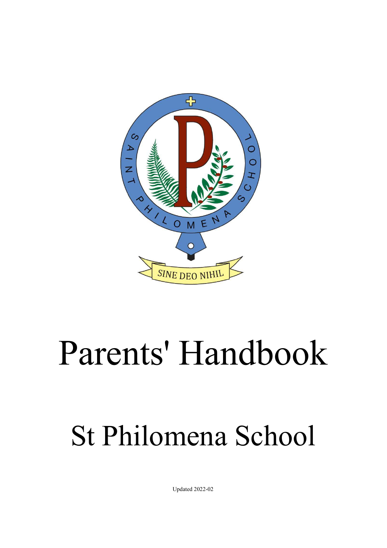

# Parents' Handbook

# St Philomena School

Updated 2022-02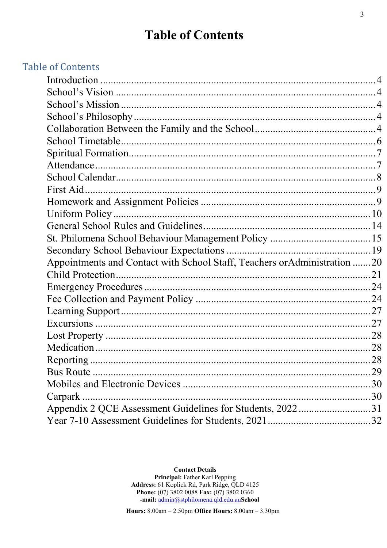# **Table of Contents**

## **Table of Contents**

| Appointments and Contact with School Staff, Teachers or Administration 20 |    |
|---------------------------------------------------------------------------|----|
|                                                                           |    |
|                                                                           |    |
|                                                                           |    |
|                                                                           |    |
|                                                                           |    |
|                                                                           |    |
|                                                                           |    |
|                                                                           |    |
|                                                                           | 29 |
|                                                                           |    |
| Carpark                                                                   |    |
| Appendix 2 QCE Assessment Guidelines for Students, 202231                 |    |
|                                                                           |    |
|                                                                           |    |

**Contact Details** Principal: Father Karl Pepping Address: 61 Koplick Rd, Park Ridge, QLD 4125 Phone: (07) 3802 0088 Fax: (07) 3802 0360 -mail: admin@stphilomena.qld.edu.auSchool

Hours: 8.00am - 2.50pm Office Hours: 8.00am - 3.30pm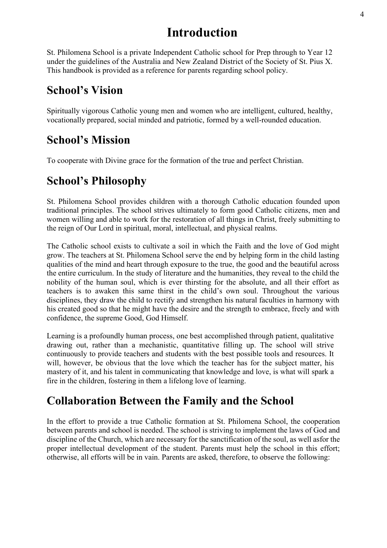# **Introduction**

<span id="page-2-0"></span>St. Philomena School is a private Independent Catholic school for Prep through to Year 12 under the guidelines of the Australia and New Zealand District of the Society of St. Pius X. This handbook is provided as a reference for parents regarding school policy.

# <span id="page-2-1"></span>**School's Vision**

Spiritually vigorous Catholic young men and women who are intelligent, cultured, healthy, vocationally prepared, social minded and patriotic, formed by a well-rounded education.

# <span id="page-2-2"></span>**School's Mission**

To cooperate with Divine grace for the formation of the true and perfect Christian.

# <span id="page-2-3"></span>**School's Philosophy**

St. Philomena School provides children with a thorough Catholic education founded upon traditional principles. The school strives ultimately to form good Catholic citizens, men and women willing and able to work for the restoration of all things in Christ, freely submitting to the reign of Our Lord in spiritual, moral, intellectual, and physical realms.

The Catholic school exists to cultivate a soil in which the Faith and the love of God might grow. The teachers at St. Philomena School serve the end by helping form in the child lasting qualities of the mind and heart through exposure to the true, the good and the beautiful across the entire curriculum. In the study of literature and the humanities, they reveal to the child the nobility of the human soul, which is ever thirsting for the absolute, and all their effort as teachers is to awaken this same thirst in the child's own soul. Throughout the various disciplines, they draw the child to rectify and strengthen his natural faculties in harmony with his created good so that he might have the desire and the strength to embrace, freely and with confidence, the supreme Good, God Himself.

Learning is a profoundly human process, one best accomplished through patient, qualitative drawing out, rather than a mechanistic, quantitative filling up. The school will strive continuously to provide teachers and students with the best possible tools and resources. It will, however, be obvious that the love which the teacher has for the subject matter, his mastery of it, and his talent in communicating that knowledge and love, is what will spark a fire in the children, fostering in them a lifelong love of learning.

# <span id="page-2-4"></span>**Collaboration Between the Family and the School**

In the effort to provide a true Catholic formation at St. Philomena School, the cooperation between parents and school is needed. The school is striving to implement the laws of God and discipline of the Church, which are necessary for the sanctification of the soul, as well asfor the proper intellectual development of the student. Parents must help the school in this effort; otherwise, all efforts will be in vain. Parents are asked, therefore, to observe the following: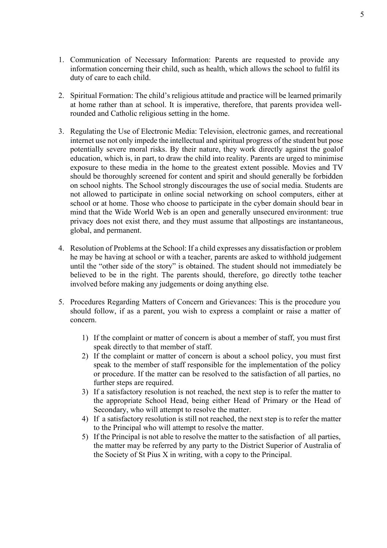- 1. Communication of Necessary Information: Parents are requested to provide any information concerning their child, such as health, which allows the school to fulfil its duty of care to each child.
- 2. Spiritual Formation: The child's religious attitude and practice will be learned primarily at home rather than at school. It is imperative, therefore, that parents providea wellrounded and Catholic religious setting in the home.
- 3. Regulating the Use of Electronic Media: Television, electronic games, and recreational internet use not only impede the intellectual and spiritual progress of the student but pose potentially severe moral risks. By their nature, they work directly against the goalof education, which is, in part, to draw the child into reality. Parents are urged to minimise exposure to these media in the home to the greatest extent possible. Movies and TV should be thoroughly screened for content and spirit and should generally be forbidden on school nights. The School strongly discourages the use of social media. Students are not allowed to participate in online social networking on school computers, either at school or at home. Those who choose to participate in the cyber domain should bear in mind that the Wide World Web is an open and generally unsecured environment: true privacy does not exist there, and they must assume that allpostings are instantaneous, global, and permanent.
- 4. Resolution of Problems at the School: If a child expresses any dissatisfaction or problem he may be having at school or with a teacher, parents are asked to withhold judgement until the "other side of the story" is obtained. The student should not immediately be believed to be in the right. The parents should, therefore, go directly tothe teacher involved before making any judgements or doing anything else.
- 5. Procedures Regarding Matters of Concern and Grievances: This is the procedure you should follow, if as a parent, you wish to express a complaint or raise a matter of concern.
	- 1) If the complaint or matter of concern is about a member of staff, you must first speak directly to that member of staff.
	- 2) If the complaint or matter of concern is about a school policy, you must first speak to the member of staff responsible for the implementation of the policy or procedure. If the matter can be resolved to the satisfaction of all parties, no further steps are required.
	- 3) If a satisfactory resolution is not reached, the next step is to refer the matter to the appropriate School Head, being either Head of Primary or the Head of Secondary, who will attempt to resolve the matter.
	- 4) If a satisfactory resolution is still not reached, the next step is to refer the matter to the Principal who will attempt to resolve the matter.
	- 5) If the Principal is not able to resolve the matter to the satisfaction of all parties, the matter may be referred by any party to the District Superior of Australia of the Society of St Pius X in writing, with a copy to the Principal.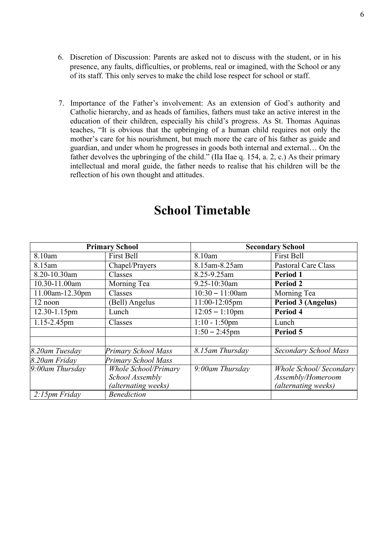- 6. Discretion of Discussion: Parents are asked not to discuss with the student, or in his presence, any faults, difficulties, or problems, real or imagined, with the School or any of its staff. This only serves to make the child lose respect for school or staff.
- 7. Importance of the Father's involvement: As an extension of God's authority and Catholic hierarchy, and as heads of families, fathers must take an active interest in the education of their children, especially his child's progress. As St. Thomas Aquinas teaches, "It is obvious that the upbringing of a human child requires not only the mother's care for his nourishment, but much more the care of his father as guide and guardian, and under whom he progresses in goods both internal and external… On the father devolves the upbringing of the child." (IIa IIae q. 154, a. 2, c.) As their primary intellectual and moral guide, the father needs to realise that his children will be the reflection of his own thought and attitudes.

<span id="page-4-0"></span>

| <b>Primary School</b>                        |                               | <b>Secondary School</b> |                                |
|----------------------------------------------|-------------------------------|-------------------------|--------------------------------|
| 8.10am                                       | First Bell                    | 8.10am                  | <b>First Bell</b>              |
| 8.15am                                       | Chapel/Prayers                | 8.15am-8.25am           | Pastoral Care Class            |
| 8.20-10.30am                                 | Classes                       | 8.25-9.25am             | Period 1                       |
| 10.30-11.00am<br>9.25-10:30am<br>Morning Tea |                               |                         | <b>Period 2</b>                |
| 11.00am-12.30pm                              | $10:30 - 11:00$ am<br>Classes |                         | Morning Tea                    |
| 12 noon                                      | (Bell) Angelus                | 11:00-12:05pm           | Period 3 (Angelus)             |
| 12.30-1.15pm                                 | Lunch                         | $12:05 - 1:10$ pm       | Period 4                       |
| 1.15-2.45pm                                  | Classes                       | $1:10 - 1:50$ pm        | Lunch                          |
|                                              |                               | $1:50 - 2:45$ pm        | Period 5                       |
|                                              |                               |                         |                                |
| 8.20am Tuesday                               | Primary School Mass           | 8.15am Thursday         | Secondary School Mass          |
| 8.20am Friday                                | <b>Primary School Mass</b>    |                         |                                |
| $9:00$ am Thursday                           | <b>Whole School/Primary</b>   | 9:00am Thursday         | <b>Whole School/ Secondary</b> |
|                                              | School Assembly               |                         | Assembly/Homeroom              |
|                                              | (alternating weeks)           |                         | (alternating weeks)            |
| $2:15$ pm Friday                             | <b>Benediction</b>            |                         |                                |

# **School Timetable**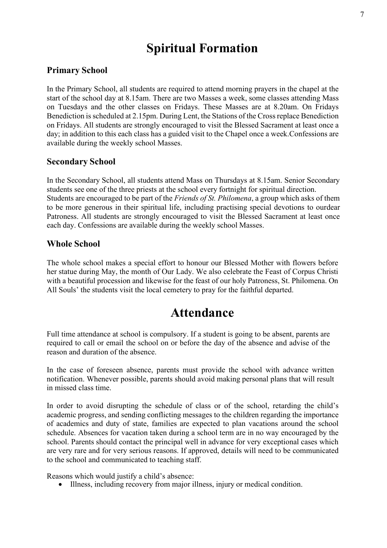# **Spiritual Formation**

### <span id="page-5-0"></span>**Primary School**

In the Primary School, all students are required to attend morning prayers in the chapel at the start of the school day at 8.15am. There are two Masses a week, some classes attending Mass on Tuesdays and the other classes on Fridays. These Masses are at 8.20am. On Fridays Benediction is scheduled at 2.15pm. During Lent, the Stations of the Cross replace Benediction on Fridays. All students are strongly encouraged to visit the Blessed Sacrament at least once a day; in addition to this each class has a guided visit to the Chapel once a week.Confessions are available during the weekly school Masses.

### **Secondary School**

In the Secondary School, all students attend Mass on Thursdays at 8.15am. Senior Secondary students see one of the three priests at the school every fortnight for spiritual direction. Students are encouraged to be part of the *Friends of St. Philomena*, a group which asks of them to be more generous in their spiritual life, including practising special devotions to ourdear Patroness. All students are strongly encouraged to visit the Blessed Sacrament at least once each day. Confessions are available during the weekly school Masses.

### **Whole School**

The whole school makes a special effort to honour our Blessed Mother with flowers before her statue during May, the month of Our Lady. We also celebrate the Feast of Corpus Christi with a beautiful procession and likewise for the feast of our holy Patroness, St. Philomena. On All Souls' the students visit the local cemetery to pray for the faithful departed.

# **Attendance**

<span id="page-5-1"></span>Full time attendance at school is compulsory. If a student is going to be absent, parents are required to call or email the school on or before the day of the absence and advise of the reason and duration of the absence.

In the case of foreseen absence, parents must provide the school with advance written notification. Whenever possible, parents should avoid making personal plans that will result in missed class time.

In order to avoid disrupting the schedule of class or of the school, retarding the child's academic progress, and sending conflicting messages to the children regarding the importance of academics and duty of state, families are expected to plan vacations around the school schedule. Absences for vacation taken during a school term are in no way encouraged by the school. Parents should contact the principal well in advance for very exceptional cases which are very rare and for very serious reasons. If approved, details will need to be communicated to the school and communicated to teaching staff.

Reasons which would justify a child's absence:

• Illness, including recovery from major illness, injury or medical condition.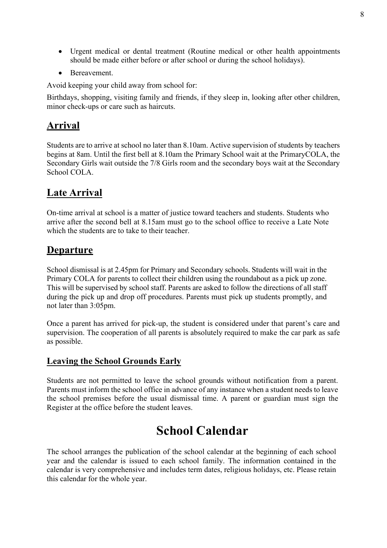- Urgent medical or dental treatment (Routine medical or other health appointments should be made either before or after school or during the school holidays).
- Bereavement.

Avoid keeping your child away from school for:

Birthdays, shopping, visiting family and friends, if they sleep in, looking after other children, minor check-ups or care such as haircuts.

### **Arrival**

Students are to arrive at school no later than 8.10am. Active supervision of students by teachers begins at 8am. Until the first bell at 8.10am the Primary School wait at the PrimaryCOLA, the Secondary Girls wait outside the 7/8 Girls room and the secondary boys wait at the Secondary School COLA.

### **Late Arrival**

On-time arrival at school is a matter of justice toward teachers and students. Students who arrive after the second bell at 8.15am must go to the school office to receive a Late Note which the students are to take to their teacher.

### **Departure**

School dismissal is at 2.45pm for Primary and Secondary schools. Students will wait in the Primary COLA for parents to collect their children using the roundabout as a pick up zone. This will be supervised by school staff. Parents are asked to follow the directions of all staff during the pick up and drop off procedures. Parents must pick up students promptly, and not later than 3:05pm.

Once a parent has arrived for pick-up, the student is considered under that parent's care and supervision. The cooperation of all parents is absolutely required to make the car park as safe as possible.

### **Leaving the School Grounds Early**

Students are not permitted to leave the school grounds without notification from a parent. Parents must inform the school office in advance of any instance when a student needs to leave the school premises before the usual dismissal time. A parent or guardian must sign the Register at the office before the student leaves.

# **School Calendar**

<span id="page-6-0"></span>The school arranges the publication of the school calendar at the beginning of each school year and the calendar is issued to each school family. The information contained in the calendar is very comprehensive and includes term dates, religious holidays, etc. Please retain this calendar for the whole year.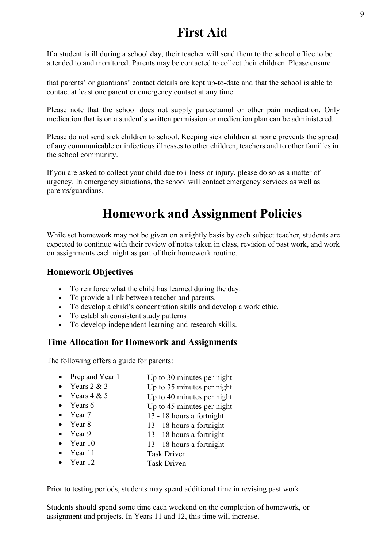# **First Aid**

<span id="page-7-0"></span>If a student is ill during a school day, their teacher will send them to the school office to be attended to and monitored. Parents may be contacted to collect their children. Please ensure

that parents' or guardians' contact details are kept up-to-date and that the school is able to contact at least one parent or emergency contact at any time.

Please note that the school does not supply paracetamol or other pain medication. Only medication that is on a student's written permission or medication plan can be administered.

Please do not send sick children to school. Keeping sick children at home prevents the spread of any communicable or infectious illnesses to other children, teachers and to other families in the school community.

If you are asked to collect your child due to illness or injury, please do so as a matter of urgency. In emergency situations, the school will contact emergency services as well as parents/guardians.

# **Homework and Assignment Policies**

<span id="page-7-1"></span>While set homework may not be given on a nightly basis by each subject teacher, students are expected to continue with their review of notes taken in class, revision of past work, and work on assignments each night as part of their homework routine.

### **Homework Objectives**

- To reinforce what the child has learned during the day.
- To provide a link between teacher and parents.
- To develop a child's concentration skills and develop a work ethic.
- To establish consistent study patterns
- To develop independent learning and research skills.

### **Time Allocation for Homework and Assignments**

The following offers a guide for parents:

- Prep and Year 1 Up to 30 minutes per night
- Years  $2 & 3$ Up to 35 minutes per night
- Years  $4 & 5$ Up to 40 minutes per night
- Years 6 Up to 45 minutes per night
- Year 7 13 - 18 hours a fortnight
- Year 8 13 - 18 hours a fortnight
- Year 9 13 - 18 hours a fortnight
- Year 10 13 - 18 hours a fortnight
- Year 11 Task Driven
- Year 12 Task Driven

Prior to testing periods, students may spend additional time in revising past work.

Students should spend some time each weekend on the completion of homework, or assignment and projects. In Years 11 and 12, this time will increase.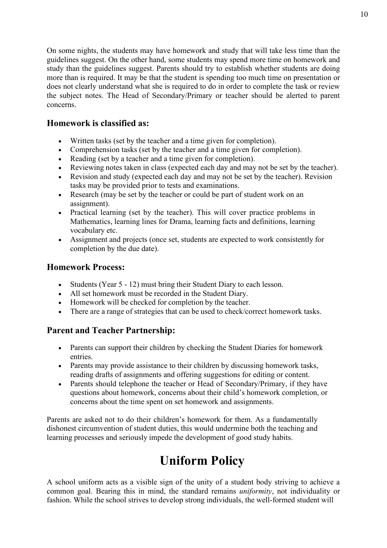On some nights, the students may have homework and study that will take less time than the guidelines suggest. On the other hand, some students may spend more time on homework and study than the guidelines suggest. Parents should try to establish whether students are doing more than is required. It may be that the student is spending too much time on presentation or does not clearly understand what she is required to do in order to complete the task or review the subject notes. The Head of Secondary/Primary or teacher should be alerted to parent concerns.

### **Homework is classified as:**

- Written tasks (set by the teacher and a time given for completion).
- Comprehension tasks (set by the teacher and a time given for completion).
- Reading (set by a teacher and a time given for completion).
- Reviewing notes taken in class (expected each day and may not be set by the teacher).
- Revision and study (expected each day and may not be set by the teacher). Revision tasks may be provided prior to tests and examinations.
- Research (may be set by the teacher or could be part of student work on an assignment).
- Practical learning (set by the teacher). This will cover practice problems in Mathematics, learning lines for Drama, learning facts and definitions, learning vocabulary etc.
- Assignment and projects (once set, students are expected to work consistently for completion by the due date).

### **Homework Process:**

- Students (Year 5 12) must bring their Student Diary to each lesson.
- All set homework must be recorded in the Student Diary.
- Homework will be checked for completion by the teacher.
- There are a range of strategies that can be used to check/correct homework tasks.

### **Parent and Teacher Partnership:**

- Parents can support their children by checking the Student Diaries for homework entries.
- Parents may provide assistance to their children by discussing homework tasks, reading drafts of assignments and offering suggestions for editing or content.
- Parents should telephone the teacher or Head of Secondary/Primary, if they have questions about homework, concerns about their child's homework completion, or concerns about the time spent on set homework and assignments.

Parents are asked not to do their children's homework for them. As a fundamentally dishonest circumvention of student duties, this would undermine both the teaching and learning processes and seriously impede the development of good study habits.

# **Uniform Policy**

<span id="page-8-0"></span>A school uniform acts as a visible sign of the unity of a student body striving to achieve a common goal. Bearing this in mind, the standard remains *uniformity*, not individuality or fashion. While the school strives to develop strong individuals, the well-formed student will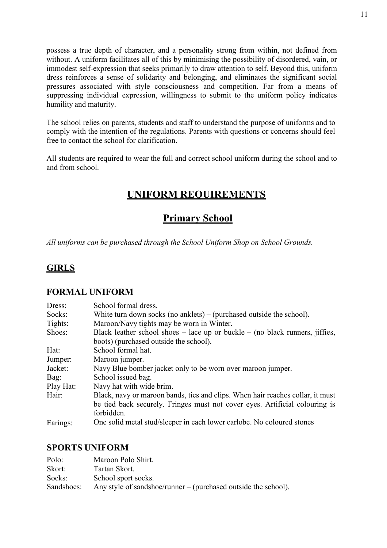possess a true depth of character, and a personality strong from within, not defined from without. A uniform facilitates all of this by minimising the possibility of disordered, vain, or immodest self-expression that seeks primarily to draw attention to self. Beyond this, uniform dress reinforces a sense of solidarity and belonging, and eliminates the significant social pressures associated with style consciousness and competition. Far from a means of suppressing individual expression, willingness to submit to the uniform policy indicates humility and maturity.

The school relies on parents, students and staff to understand the purpose of uniforms and to comply with the intention of the regulations. Parents with questions or concerns should feel free to contact the school for clarification.

All students are required to wear the full and correct school uniform during the school and to and from school.

### **UNIFORM REQUIREMENTS**

### **Primary School**

*All uniforms can be purchased through the School Uniform Shop on School Grounds.*

### **GIRLS**

### **FORMAL UNIFORM**

| Dress:    | School formal dress.                                                             |
|-----------|----------------------------------------------------------------------------------|
| Socks:    | White turn down socks (no anklets) – (purchased outside the school).             |
| Tights:   | Maroon/Navy tights may be worn in Winter.                                        |
| Shoes:    | Black leather school shoes $-$ lace up or buckle $-$ (no black runners, jiffies, |
|           | boots) (purchased outside the school).                                           |
| Hat:      | School formal hat.                                                               |
| Jumper:   | Maroon jumper.                                                                   |
| Jacket:   | Navy Blue bomber jacket only to be worn over maroon jumper.                      |
| Bag:      | School issued bag.                                                               |
| Play Hat: | Navy hat with wide brim.                                                         |
| Hair:     | Black, navy or maroon bands, ties and clips. When hair reaches collar, it must   |
|           | be tied back securely. Fringes must not cover eyes. Artificial colouring is      |
|           | forbidden.                                                                       |
| Earings:  | One solid metal stud/sleeper in each lower earlobe. No coloured stones           |

### **SPORTS UNIFORM**

| Polo:      | Maroon Polo Shirt.                                             |
|------------|----------------------------------------------------------------|
| Skort:     | Tartan Skort.                                                  |
| Socks:     | School sport socks.                                            |
| Sandshoes: | Any style of sandshoe/runner – (purchased outside the school). |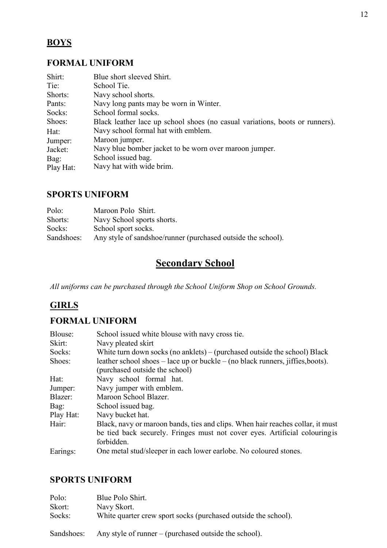### **BOYS**

### **FORMAL UNIFORM**

| Shirt:<br>Blue short sleeved Shirt.                                                    |  |
|----------------------------------------------------------------------------------------|--|
| Tie:<br>School Tie.                                                                    |  |
| Shorts:<br>Navy school shorts.                                                         |  |
| Navy long pants may be worn in Winter.<br>Pants:                                       |  |
| Socks:<br>School formal socks.                                                         |  |
| Shoes:<br>Black leather lace up school shoes (no casual variations, boots or runners). |  |
| Navy school formal hat with emblem.<br>Hat:                                            |  |
| Maroon jumper.<br>Jumper:                                                              |  |
| Navy blue bomber jacket to be worn over maroon jumper.<br>Jacket:                      |  |
| School issued bag.<br>Bag:                                                             |  |
| Navy hat with wide brim.<br>Play Hat:                                                  |  |

### **SPORTS UNIFORM**

| Polo:      | Maroon Polo Shirt.                                           |
|------------|--------------------------------------------------------------|
| Shorts:    | Navy School sports shorts.                                   |
| Socks:     | School sport socks.                                          |
| Sandshoes: | Any style of sandshoe/runner (purchased outside the school). |

# **Secondary School**

*All uniforms can be purchased through the School Uniform Shop on School Grounds.*

### **GIRLS**

### **FORMAL UNIFORM**

| Blouse:   | School issued white blouse with navy cross tie.                                           |
|-----------|-------------------------------------------------------------------------------------------|
| Skirt:    | Navy pleated skirt                                                                        |
| Socks:    | White turn down socks (no anklets) – (purchased outside the school) Black                 |
| Shoes:    | leather school shoes $-$ lace up or buckle $-$ (no black runners, jiffies, boots).        |
|           | (purchased outside the school)                                                            |
| Hat:      | Navy school formal hat.                                                                   |
| Jumper:   | Navy jumper with emblem.                                                                  |
| Blazer:   | Maroon School Blazer.                                                                     |
| Bag:      | School issued bag.                                                                        |
| Play Hat: | Navy bucket hat.                                                                          |
| Hair:     | Black, navy or maroon bands, ties and clips. When hair reaches collar, it must            |
|           | be tied back securely. Fringes must not cover eyes. Artificial colouring is<br>forbidden. |
| Earings:  | One metal stud/sleeper in each lower earlobe. No coloured stones.                         |

### **SPORTS UNIFORM**

| Polo:      | Blue Polo Shirt.                                               |
|------------|----------------------------------------------------------------|
| Skort:     | Navy Skort.                                                    |
| Socks:     | White quarter crew sport socks (purchased outside the school). |
| Sandshoes: | Any style of runner $-$ (purchased outside the school).        |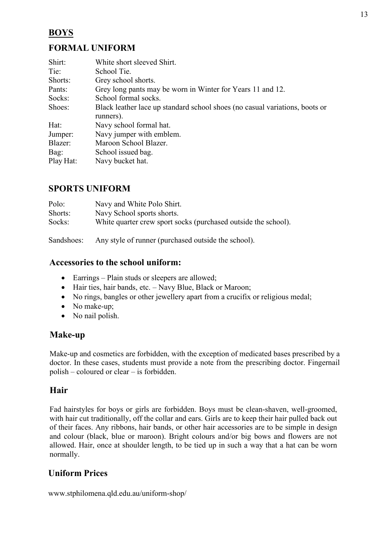### **BOYS**

### **FORMAL UNIFORM**

| Shirt:    | White short sleeved Shirt.                                                  |
|-----------|-----------------------------------------------------------------------------|
| Tie:      | School Tie.                                                                 |
| Shorts:   | Grey school shorts.                                                         |
| Pants:    | Grey long pants may be worn in Winter for Years 11 and 12.                  |
| Socks:    | School formal socks.                                                        |
| Shoes:    | Black leather lace up standard school shoes (no casual variations, boots or |
|           | runners).                                                                   |
| Hat:      | Navy school formal hat.                                                     |
| Jumper:   | Navy jumper with emblem.                                                    |
| Blazer:   | Maroon School Blazer.                                                       |
| Bag:      | School issued bag.                                                          |
| Play Hat: | Navy bucket hat.                                                            |

### **SPORTS UNIFORM**

| Navy and White Polo Shirt.                                     |
|----------------------------------------------------------------|
| Navy School sports shorts.                                     |
| White quarter crew sport socks (purchased outside the school). |
|                                                                |

Sandshoes: Any style of runner (purchased outside the school).

### **Accessories to the school uniform:**

- Earrings Plain studs or sleepers are allowed;
- Hair ties, hair bands, etc. Navy Blue, Black or Maroon;
- No rings, bangles or other jewellery apart from a crucifix or religious medal;
- No make-up;
- No nail polish.

### **Make-up**

Make-up and cosmetics are forbidden, with the exception of medicated bases prescribed by a doctor. In these cases, students must provide a note from the prescribing doctor. Fingernail polish – coloured or clear – is forbidden.

### **Hair**

Fad hairstyles for boys or girls are forbidden. Boys must be clean-shaven, well-groomed, with hair cut traditionally, off the collar and ears. Girls are to keep their hair pulled back out of their faces. Any ribbons, hair bands, or other hair accessories are to be simple in design and colour (black, blue or maroon). Bright colours and/or big bows and flowers are not allowed. Hair, once at shoulder length, to be tied up in such a way that a hat can be worn normally.

### **Uniform Prices**

[www.stphilomena.qld.edu.au/uniform-shop/](http://www.stphilomena.qld.edu.au/uniform-shop/)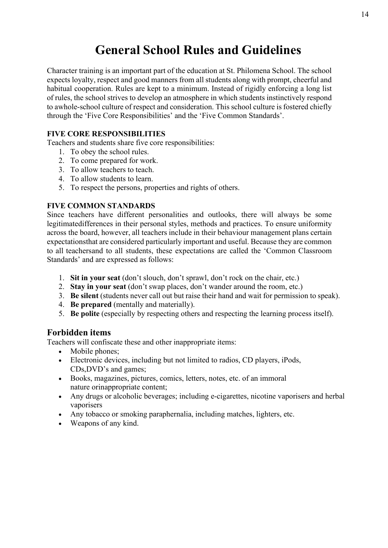# **General School Rules and Guidelines**

<span id="page-12-0"></span>Character training is an important part of the education at St. Philomena School. The school expects loyalty, respect and good manners from all students along with prompt, cheerful and habitual cooperation. Rules are kept to a minimum. Instead of rigidly enforcing a long list of rules, the school strives to develop an atmosphere in which students instinctively respond to awhole-school culture of respect and consideration. This school culture is fostered chiefly through the 'Five Core Responsibilities' and the 'Five Common Standards'.

### **FIVE CORE RESPONSIBILITIES**

Teachers and students share five core responsibilities:

- 1. To obey the school rules.
- 2. To come prepared for work.
- 3. To allow teachers to teach.
- 4. To allow students to learn.
- 5. To respect the persons, properties and rights of others.

### **FIVE COMMON STANDARDS**

Since teachers have different personalities and outlooks, there will always be some legitimatedifferences in their personal styles, methods and practices. To ensure uniformity across the board, however, all teachers include in their behaviour management plans certain expectationsthat are considered particularly important and useful. Because they are common to all teachersand to all students, these expectations are called the 'Common Classroom Standards' and are expressed as follows:

- 1. **Sit in your seat** (don't slouch, don't sprawl, don't rock on the chair, etc.)
- 2. **Stay in your seat** (don't swap places, don't wander around the room, etc.)
- 3. **Be silent** (students never call out but raise their hand and wait for permission to speak).
- 4. **Be prepared** (mentally and materially).
- 5. **Be polite** (especially by respecting others and respecting the learning process itself).

### **Forbidden items**

Teachers will confiscate these and other inappropriate items:

- Mobile phones;
- Electronic devices, including but not limited to radios, CD players, iPods, CDs,DVD's and games;
- Books, magazines, pictures, comics, letters, notes, etc. of an immoral nature orinappropriate content;
- Any drugs or alcoholic beverages; including e-cigarettes, nicotine vaporisers and herbal vaporisers
- Any tobacco or smoking paraphernalia, including matches, lighters, etc.
- Weapons of any kind.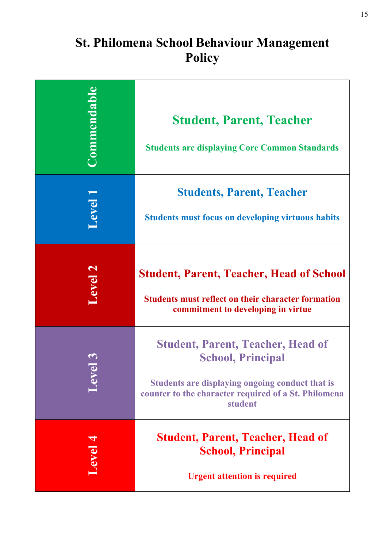# **St. Philomena School Behaviour Management Policy**

<span id="page-13-0"></span>

| <b>Commendable</b> | <b>Student, Parent, Teacher</b><br><b>Students are displaying Core Common Standards</b>                                                                                                    |
|--------------------|--------------------------------------------------------------------------------------------------------------------------------------------------------------------------------------------|
| evel               | <b>Students, Parent, Teacher</b><br><b>Students must focus on developing virtuous habits</b>                                                                                               |
| <b>Level</b>       | <b>Student, Parent, Teacher, Head of School</b><br><b>Students must reflect on their character formation</b><br>commitment to developing in virtue                                         |
|                    | <b>Student, Parent, Teacher, Head of</b><br><b>School, Principal</b><br>Students are displaying ongoing conduct that is<br>counter to the character required of a St. Philomena<br>student |
| Level 4            | <b>Student, Parent, Teacher, Head of</b><br><b>School, Principal</b><br><b>Urgent attention is required</b>                                                                                |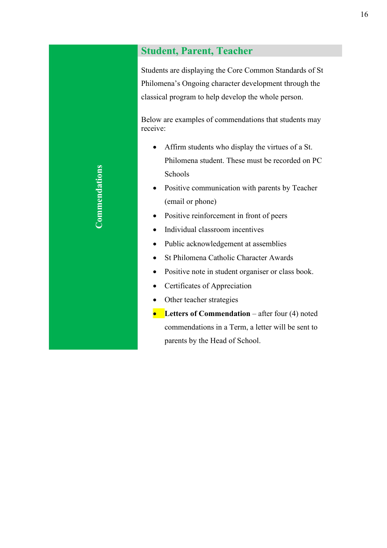### **Student, Parent, Teacher**

Students are displaying the Core Common Standards of St Philomena's Ongoing character development through the classical program to help develop the whole person.

Below are examples of commendations that students may receive:

- Affirm students who display the virtues of a St. Philomena student. These must be recorded on PC Schools
- Positive communication with parents by Teacher (email or phone)
- Positive reinforcement in front of peers
- Individual classroom incentives
- Public acknowledgement at assemblies
- St Philomena Catholic Character Awards
- Positive note in student organiser or class book.
- Certificates of Appreciation
- Other teacher strategies
- **•** Letters of Commendation after four (4) noted commendations in a Term, a letter will be sent to parents by the Head of School.

**Commendations**  Commendations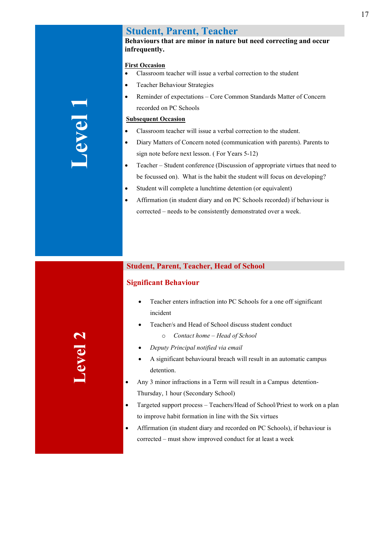### **Student, Parent, Teacher**

### **Behaviours that are minor in nature but need correcting and occur infrequently.**

### **First Occasion**

- Classroom teacher will issue a verbal correction to the student
- Teacher Behaviour Strategies
- Reminder of expectations Core Common Standards Matter of Concern recorded on PC Schools

### **Subsequent Occasion**

- Classroom teacher will issue a verbal correction to the student.
- Diary Matters of Concern noted (communication with parents). Parents to sign note before next lesson. ( For Years 5-12)
- Teacher Student conference (Discussion of appropriate virtues that need to be focussed on). What is the habit the student will focus on developing?
- Student will complete a lunchtime detention (or equivalent)
- Affirmation (in student diary and on PC Schools recorded) if behaviour is corrected – needs to be consistently demonstrated over a week.

### **Student, Parent, Teacher, Head of School**

### **Significant Behaviour**

- Teacher enters infraction into PC Schools for a one off significant incident
- Teacher/s and Head of School discuss student conduct
	- o *Contact home – Head of School*
- *Deputy Principal notified via email*
- A significant behavioural breach will result in an automatic campus detention.
- Any 3 minor infractions in a Term will result in a Campus detention-Thursday, 1 hour (Secondary School)
- Targeted support process Teachers/Head of School/Priest to work on a plan to improve habit formation in line with the Six virtues
- Affirmation (in student diary and recorded on PC Schools), if behaviour is corrected – must show improved conduct for at least a week

# **Level 2**

# **Level 1**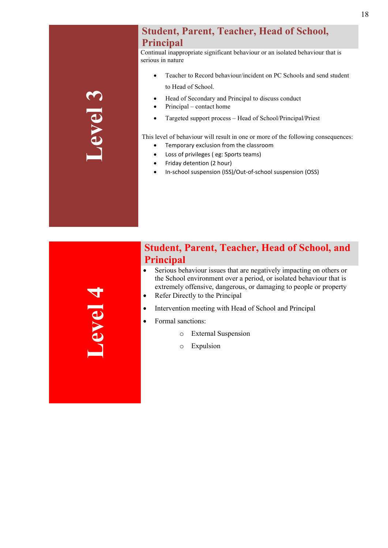# **Level 3**

### **Student, Parent, Teacher, Head of School, Principal**

Continual inappropriate significant behaviour or an isolated behaviour that is serious in nature

- Teacher to Record behaviour/incident on PC Schools and send student to Head of School.
- Head of Secondary and Principal to discuss conduct
- Principal contact home
- Targeted support process Head of School/Principal/Priest

This level of behaviour will result in one or more of the following consequences:

- Temporary exclusion from the classroom • Loss of privileges ( eg: Sports teams)
- 
- Friday detention (2 hour)
- In-school suspension (ISS)/Out-of-school suspension (OSS)

**Level 4**

### **Student, Parent, Teacher, Head of School, and Principal**

- Serious behaviour issues that are negatively impacting on others or the School environment over a period, or isolated behaviour that is extremely offensive, dangerous, or damaging to people or property
- Refer Directly to the Principal
- Intervention meeting with Head of School and Principal
- Formal sanctions:
	- o External Suspension
	- o Expulsion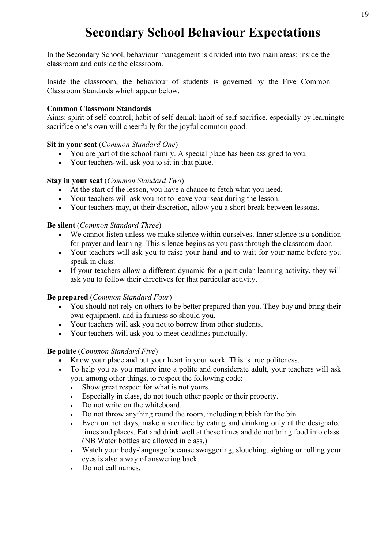# **Secondary School Behaviour Expectations**

<span id="page-17-0"></span>In the Secondary School, behaviour management is divided into two main areas: inside the classroom and outside the classroom.

Inside the classroom, the behaviour of students is governed by the Five Common Classroom Standards which appear below.

### **Common Classroom Standards**

Aims: spirit of self-control; habit of self-denial; habit of self-sacrifice, especially by learningto sacrifice one's own will cheerfully for the joyful common good.

### **Sit in your seat** (*Common Standard One*)

- You are part of the school family. A special place has been assigned to you.
- Your teachers will ask you to sit in that place.

### **Stay in your seat** (*Common Standard Two*)

- At the start of the lesson, you have a chance to fetch what you need.
- Your teachers will ask you not to leave your seat during the lesson.
- Your teachers may, at their discretion, allow you a short break between lessons.

### **Be silent** (*Common Standard Three*)

- We cannot listen unless we make silence within ourselves. Inner silence is a condition for prayer and learning. This silence begins as you pass through the classroom door.
- Your teachers will ask you to raise your hand and to wait for your name before you speak in class.
- If your teachers allow a different dynamic for a particular learning activity, they will ask you to follow their directives for that particular activity.

### **Be prepared** (*Common Standard Four*)

- You should not rely on others to be better prepared than you. They buy and bring their own equipment, and in fairness so should you.
- Your teachers will ask you not to borrow from other students.
- Your teachers will ask you to meet deadlines punctually.

### **Be polite** (*Common Standard Five*)

- Know your place and put your heart in your work. This is true politeness.
- To help you as you mature into a polite and considerate adult, your teachers will ask you, among other things, to respect the following code:
	- Show great respect for what is not yours.
	- Especially in class, do not touch other people or their property.
	- Do not write on the whiteboard.
	- Do not throw anything round the room, including rubbish for the bin.
	- Even on hot days, make a sacrifice by eating and drinking only at the designated times and places. Eat and drink well at these times and do not bring food into class. (NB Water bottles are allowed in class.)
	- Watch your body-language because swaggering, slouching, sighing or rolling your eyes is also a way of answering back.
	- Do not call names.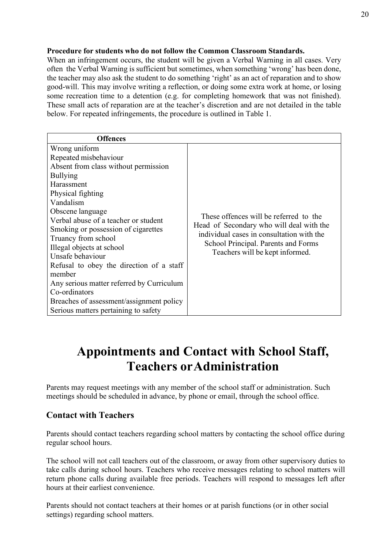### **Procedure for students who do not follow the Common Classroom Standards.**

When an infringement occurs, the student will be given a Verbal Warning in all cases. Very often the Verbal Warning is sufficient but sometimes, when something 'wrong' has been done, the teacher may also ask the student to do something 'right' as an act of reparation and to show good-will. This may involve writing a reflection, or doing some extra work at home, or losing some recreation time to a detention (e.g. for completing homework that was not finished). These small acts of reparation are at the teacher's discretion and are not detailed in the table below. For repeated infringements, the procedure is outlined in Table 1.

# **Appointments and Contact with School Staff, Teachers orAdministration**

<span id="page-18-0"></span>Parents may request meetings with any member of the school staff or administration. Such meetings should be scheduled in advance, by phone or email, through the school office.

### **Contact with Teachers**

Parents should contact teachers regarding school matters by contacting the school office during regular school hours.

The school will not call teachers out of the classroom, or away from other supervisory duties to take calls during school hours. Teachers who receive messages relating to school matters will return phone calls during available free periods. Teachers will respond to messages left after hours at their earliest convenience.

Parents should not contact teachers at their homes or at parish functions (or in other social settings) regarding school matters.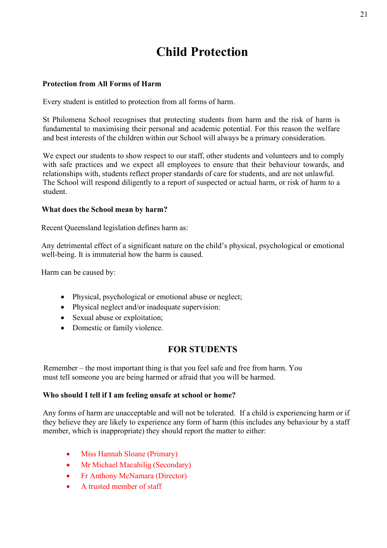# **Child Protection**

### <span id="page-19-0"></span>**Protection from All Forms of Harm**

Every student is entitled to protection from all forms of harm.

St Philomena School recognises that protecting students from harm and the risk of harm is fundamental to maximising their personal and academic potential. For this reason the welfare and best interests of the children within our School will always be a primary consideration.

We expect our students to show respect to our staff, other students and volunteers and to comply with safe practices and we expect all employees to ensure that their behaviour towards, and relationships with, students reflect proper standards of care for students, and are not unlawful. The School will respond diligently to a report of suspected or actual harm, or risk of harm to a student.

### **What does the School mean by harm?**

Recent Queensland legislation defines harm as:

Any detrimental effect of a significant nature on the child's physical, psychological or emotional well-being. It is immaterial how the harm is caused.

Harm can be caused by:

- Physical, psychological or emotional abuse or neglect;
- Physical neglect and/or inadequate supervision:
- Sexual abuse or exploitation;
- Domestic or family violence.

### **FOR STUDENTS**

Remember – the most important thing is that you feel safe and free from harm. You must tell someone you are being harmed or afraid that you will be harmed.

### **Who should I tell if I am feeling unsafe at school or home?**

Any forms of harm are unacceptable and will not be tolerated. If a child is experiencing harm or if they believe they are likely to experience any form of harm (this includes any behaviour by a staff member, which is inappropriate) they should report the matter to either:

- Miss Hannah Sloane (Primary)
- Mr Michael Macahilig (Secondary)
- Fr Anthony McNamara (Director)
- A trusted member of staff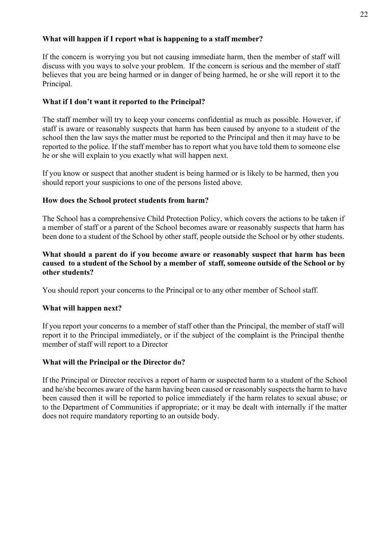### **What will happen if I report what is happening to a staff member?**

If the concern is worrying you but not causing immediate harm, then the member of staff will discuss with you ways to solve your problem. If the concern is serious and the member of staff believes that you are being harmed or in danger of being harmed, he or she will report it to the Principal.

### **What if I don't want it reported to the Principal?**

The staff member will try to keep your concerns confidential as much as possible. However, if staff is aware or reasonably suspects that harm has been caused by anyone to a student of the school then the law says the matter must be reported to the Principal and then it may have to be reported to the police. If the staff member has to report what you have told them to someone else he or she will explain to you exactly what will happen next.

If you know or suspect that another student is being harmed or is likely to be harmed, then you should report your suspicions to one of the persons listed above.

### **How does the School protect students from harm?**

The School has a comprehensive Child Protection Policy, which covers the actions to be taken if a member of staff or a parent of the School becomes aware or reasonably suspects that harm has been done to a student of the School by other staff, people outside the School or by other students.

### **What should a parent do if you become aware or reasonably suspect that harm has been caused to a student of the School by a member of staff, someone outside of the School or by other students?**

You should report your concerns to the Principal or to any other member of School staff.

### **What will happen next?**

If you report your concerns to a member of staff other than the Principal, the member of staff will report it to the Principal immediately, or if the subject of the complaint is the Principal thenthe member of staff will report to a Director

### **What will the Principal or the Director do?**

If the Principal or Director receives a report of harm or suspected harm to a student of the School and he/she becomes aware of the harm having been caused or reasonably suspects the harm to have been caused then it will be reported to police immediately if the harm relates to sexual abuse; or to the Department of Communities if appropriate; or it may be dealt with internally if the matter does not require mandatory reporting to an outside body.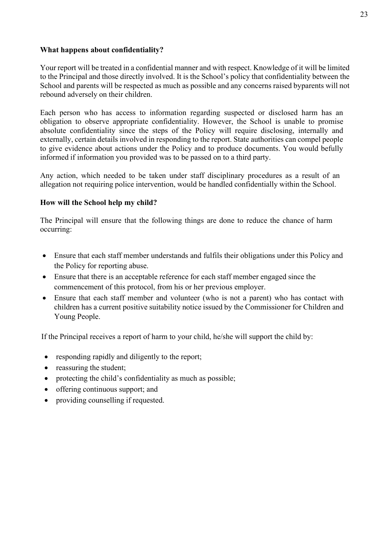### **What happens about confidentiality?**

Your report will be treated in a confidential manner and with respect. Knowledge of it will be limited to the Principal and those directly involved. It is the School's policy that confidentiality between the School and parents will be respected as much as possible and any concerns raised byparents will not rebound adversely on their children.

Each person who has access to information regarding suspected or disclosed harm has an obligation to observe appropriate confidentiality. However, the School is unable to promise absolute confidentiality since the steps of the Policy will require disclosing, internally and externally, certain details involved in responding to the report. State authorities can compel people to give evidence about actions under the Policy and to produce documents. You would befully informed if information you provided was to be passed on to a third party.

Any action, which needed to be taken under staff disciplinary procedures as a result of an allegation not requiring police intervention, would be handled confidentially within the School.

### **How will the School help my child?**

The Principal will ensure that the following things are done to reduce the chance of harm occurring:

- Ensure that each staff member understands and fulfils their obligations under this Policy and the Policy for reporting abuse.
- Ensure that there is an acceptable reference for each staff member engaged since the commencement of this protocol, from his or her previous employer.
- Ensure that each staff member and volunteer (who is not a parent) who has contact with children has a current positive suitability notice issued by the Commissioner for Children and Young People.

If the Principal receives a report of harm to your child, he/she will support the child by:

- responding rapidly and diligently to the report;
- reassuring the student;
- protecting the child's confidentiality as much as possible;
- offering continuous support; and
- providing counselling if requested.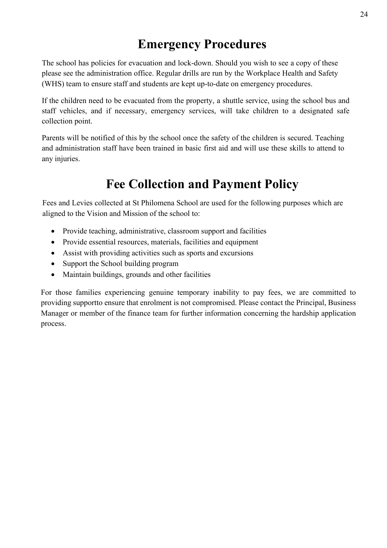# **Emergency Procedures**

<span id="page-22-0"></span>The school has policies for evacuation and lock-down. Should you wish to see a copy of these please see the administration office. Regular drills are run by the Workplace Health and Safety (WHS) team to ensure staff and students are kept up-to-date on emergency procedures.

If the children need to be evacuated from the property, a shuttle service, using the school bus and staff vehicles, and if necessary, emergency services, will take children to a designated safe collection point.

Parents will be notified of this by the school once the safety of the children is secured. Teaching and administration staff have been trained in basic first aid and will use these skills to attend to any injuries.

# **Fee Collection and Payment Policy**

<span id="page-22-1"></span>Fees and Levies collected at St Philomena School are used for the following purposes which are aligned to the Vision and Mission of the school to:

- Provide teaching, administrative, classroom support and facilities
- Provide essential resources, materials, facilities and equipment
- Assist with providing activities such as sports and excursions
- Support the School building program
- Maintain buildings, grounds and other facilities

For those families experiencing genuine temporary inability to pay fees, we are committed to providing supportto ensure that enrolment is not compromised. Please contact the Principal, Business Manager or member of the finance team for further information concerning the hardship application process.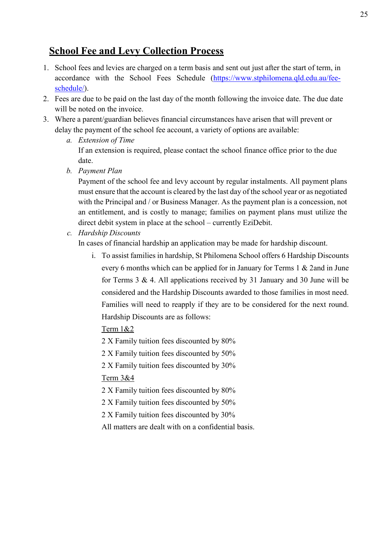### **School Fee and Levy Collection Process**

- 1. School fees and levies are charged on a term basis and sent out just after the start of term, in accordance with the School Fees Schedule [\(https://www.stphilomena.qld.edu.au/fee](https://www.stphilomena.qld.edu.au/fee-schedule/)[schedule/\)](https://www.stphilomena.qld.edu.au/fee-schedule/).
- 2. Fees are due to be paid on the last day of the month following the invoice date. The due date will be noted on the invoice.
- 3. Where a parent/guardian believes financial circumstances have arisen that will prevent or delay the payment of the school fee account, a variety of options are available:
	- *a. Extension of Time* If an extension is required, please contact the school finance office prior to the due date.
	- *b. Payment Plan*

Payment of the school fee and levy account by regular instalments. All payment plans must ensure that the account is cleared by the last day of the school year or as negotiated with the Principal and / or Business Manager. As the payment plan is a concession, not an entitlement, and is costly to manage; families on payment plans must utilize the direct debit system in place at the school – currently EziDebit.

*c. Hardship Discounts*

In cases of financial hardship an application may be made for hardship discount.

i. To assist families in hardship, St Philomena School offers 6 Hardship Discounts every 6 months which can be applied for in January for Terms 1 & 2and in June for Terms  $3 \& 4$ . All applications received by  $31$  January and  $30$  June will be considered and the Hardship Discounts awarded to those families in most need. Families will need to reapply if they are to be considered for the next round. Hardship Discounts are as follows:

Term 1&2

2 X Family tuition fees discounted by 80%

2 X Family tuition fees discounted by 50%

2 X Family tuition fees discounted by 30%

### Term 3&4

2 X Family tuition fees discounted by 80%

- 2 X Family tuition fees discounted by 50%
- 2 X Family tuition fees discounted by 30%
- All matters are dealt with on a confidential basis.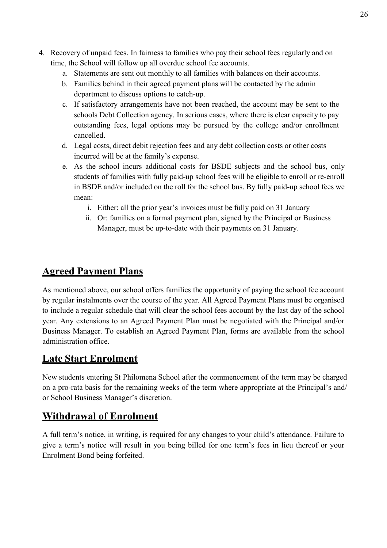- 4. Recovery of unpaid fees. In fairness to families who pay their school fees regularly and on time, the School will follow up all overdue school fee accounts.
	- a. Statements are sent out monthly to all families with balances on their accounts.
	- b. Families behind in their agreed payment plans will be contacted by the admin department to discuss options to catch-up.
	- c. If satisfactory arrangements have not been reached, the account may be sent to the schools Debt Collection agency. In serious cases, where there is clear capacity to pay outstanding fees, legal options may be pursued by the college and/or enrollment cancelled.
	- d. Legal costs, direct debit rejection fees and any debt collection costs or other costs incurred will be at the family's expense.
	- e. As the school incurs additional costs for BSDE subjects and the school bus, only students of families with fully paid-up school fees will be eligible to enroll or re-enroll in BSDE and/or included on the roll for the school bus. By fully paid-up school fees we mean:
		- i. Either: all the prior year's invoices must be fully paid on 31 January
		- ii. Or: families on a formal payment plan, signed by the Principal or Business Manager, must be up-to-date with their payments on 31 January.

# **Agreed Payment Plans**

As mentioned above, our school offers families the opportunity of paying the school fee account by regular instalments over the course of the year. All Agreed Payment Plans must be organised to include a regular schedule that will clear the school fees account by the last day of the school year. Any extensions to an Agreed Payment Plan must be negotiated with the Principal and/or Business Manager. To establish an Agreed Payment Plan, forms are available from the school administration office.

### **Late Start Enrolment**

New students entering St Philomena School after the commencement of the term may be charged on a pro-rata basis for the remaining weeks of the term where appropriate at the Principal's and/ or School Business Manager's discretion.

# **Withdrawal of Enrolment**

A full term's notice, in writing, is required for any changes to your child's attendance. Failure to give a term's notice will result in you being billed for one term's fees in lieu thereof or your Enrolment Bond being forfeited.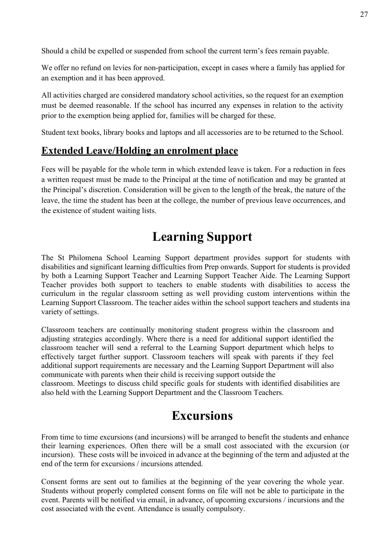Should a child be expelled or suspended from school the current term's fees remain payable.

We offer no refund on levies for non-participation, except in cases where a family has applied for an exemption and it has been approved.

All activities charged are considered mandatory school activities, so the request for an exemption must be deemed reasonable. If the school has incurred any expenses in relation to the activity prior to the exemption being applied for, families will be charged for these.

Student text books, library books and laptops and all accessories are to be returned to the School.

### **Extended Leave/Holding an enrolment place**

Fees will be payable for the whole term in which extended leave is taken. For a reduction in fees a written request must be made to the Principal at the time of notification and may be granted at the Principal's discretion. Consideration will be given to the length of the break, the nature of the leave, the time the student has been at the college, the number of previous leave occurrences, and the existence of student waiting lists.

# **Learning Support**

<span id="page-25-0"></span>The St Philomena School Learning Support department provides support for students with disabilities and significant learning difficulties from Prep onwards. Support for students is provided by both a Learning Support Teacher and Learning Support Teacher Aide. The Learning Support Teacher provides both support to teachers to enable students with disabilities to access the curriculum in the regular classroom setting as well providing custom interventions within the Learning Support Classroom. The teacher aides within the school support teachers and students ina variety of settings.

Classroom teachers are continually monitoring student progress within the classroom and adjusting strategies accordingly. Where there is a need for additional support identified the classroom teacher will send a referral to the Learning Support department which helps to effectively target further support. Classroom teachers will speak with parents if they feel additional support requirements are necessary and the Learning Support Department will also communicate with parents when their child is receiving support outside the

<span id="page-25-1"></span>classroom. Meetings to discuss child specific goals for students with identified disabilities are also held with the Learning Support Department and the Classroom Teachers.

# **Excursions**

From time to time excursions (and incursions) will be arranged to benefit the students and enhance their learning experiences. Often there will be a small cost associated with the excursion (or incursion). These costs will be invoiced in advance at the beginning of the term and adjusted at the end of the term for excursions / incursions attended.

Consent forms are sent out to families at the beginning of the year covering the whole year. Students without properly completed consent forms on file will not be able to participate in the event. Parents will be notified via email, in advance, of upcoming excursions / incursions and the cost associated with the event. Attendance is usually compulsory.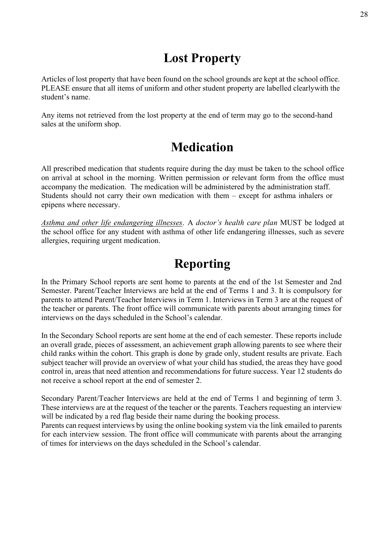# **Lost Property**

<span id="page-26-0"></span>Articles of lost property that have been found on the school grounds are kept at the school office. PLEASE ensure that all items of uniform and other student property are labelled clearlywith the student's name.

<span id="page-26-1"></span>Any items not retrieved from the lost property at the end of term may go to the second-hand sales at the uniform shop.

# **Medication**

All prescribed medication that students require during the day must be taken to the school office on arrival at school in the morning. Written permission or relevant form from the office must accompany the medication. The medication will be administered by the administration staff. Students should not carry their own medication with them – except for asthma inhalers or epipens where necessary.

*Asthma and other life endangering illnesses*. A *doctor's health care plan* MUST be lodged at the school office for any student with asthma of other life endangering illnesses, such as severe allergies, requiring urgent medication.

# **Reporting**

<span id="page-26-2"></span>In the Primary School reports are sent home to parents at the end of the 1st Semester and 2nd Semester. Parent/Teacher Interviews are held at the end of Terms 1 and 3. It is compulsory for parents to attend Parent/Teacher Interviews in Term 1. Interviews in Term 3 are at the request of the teacher or parents. The front office will communicate with parents about arranging times for interviews on the days scheduled in the School's calendar.

In the Secondary School reports are sent home at the end of each semester. These reports include an overall grade, pieces of assessment, an achievement graph allowing parents to see where their child ranks within the cohort. This graph is done by grade only, student results are private. Each subject teacher will provide an overview of what your child has studied, the areas they have good control in, areas that need attention and recommendations for future success. Year 12 students do not receive a school report at the end of semester 2.

Secondary Parent/Teacher Interviews are held at the end of Terms 1 and beginning of term 3. These interviews are at the request of the teacher or the parents. Teachers requesting an interview will be indicated by a red flag beside their name during the booking process.

Parents can request interviews by using the online booking system via the link emailed to parents for each interview session. The front office will communicate with parents about the arranging of times for interviews on the days scheduled in the School's calendar.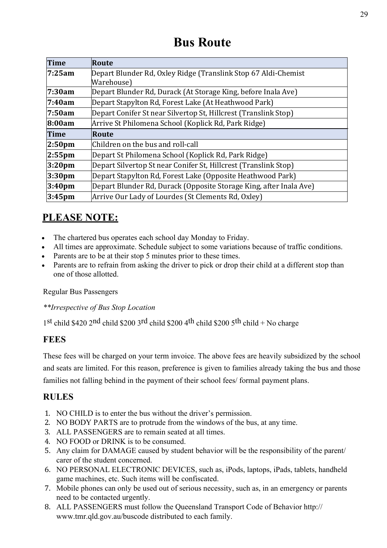# **Bus Route**

<span id="page-27-0"></span>

| <b>Time</b>        | Route                                                              |
|--------------------|--------------------------------------------------------------------|
| 7:25am             | Depart Blunder Rd, Oxley Ridge (Translink Stop 67 Aldi-Chemist     |
|                    | Warehouse)                                                         |
| 7:30am             | Depart Blunder Rd, Durack (At Storage King, before Inala Ave)      |
| 7:40am             | Depart Stapylton Rd, Forest Lake (At Heathwood Park)               |
| 7:50am             | Depart Conifer St near Silvertop St, Hillcrest (Translink Stop)    |
| 8:00am             | Arrive St Philomena School (Koplick Rd, Park Ridge)                |
| <b>Time</b>        | Route                                                              |
| 2:50 <sub>pm</sub> | Children on the bus and roll-call                                  |
| $2:55$ pm          | Depart St Philomena School (Koplick Rd, Park Ridge)                |
| 3:20 <sub>pm</sub> | Depart Silvertop St near Conifer St, Hillcrest (Translink Stop)    |
| 3:30 <sub>pm</sub> | Depart Stapylton Rd, Forest Lake (Opposite Heathwood Park)         |
| 3:40 <sub>pm</sub> | Depart Blunder Rd, Durack (Opposite Storage King, after Inala Ave) |
| 3:45 <sub>pm</sub> | Arrive Our Lady of Lourdes (St Clements Rd, Oxley)                 |

# **PLEASE NOTE:**

- The chartered bus operates each school day Monday to Friday.
- All times are approximate. Schedule subject to some variations because of traffic conditions.
- Parents are to be at their stop 5 minutes prior to these times.
- Parents are to refrain from asking the driver to pick or drop their child at a different stop than one of those allotted.

Regular Bus Passengers

*\*\*Irrespective of Bus Stop Location*

1st child \$420 2nd child \$200 3rd child \$200 4th child \$200 5th child + No charge

### **FEES**

These fees will be charged on your term invoice. The above fees are heavily subsidized by the school and seats are limited. For this reason, preference is given to families already taking the bus and those families not falling behind in the payment of their school fees/ formal payment plans.

### **RULES**

- 1. NO CHILD is to enter the bus without the driver's permission.
- 2. NO BODY PARTS are to protrude from the windows of the bus, at any time.
- 3. ALL PASSENGERS are to remain seated at all times.
- 4. NO FOOD or DRINK is to be consumed.
- 5. Any claim for DAMAGE caused by student behavior will be the responsibility of the parent/ carer of the student concerned.
- 6. NO PERSONAL ELECTRONIC DEVICES, such as, iPods, laptops, iPads, tablets, handheld game machines, etc. Such items will be confiscated.
- 7. Mobile phones can only be used out of serious necessity, such as, in an emergency or parents need to be contacted urgently.
- 8. ALL PASSENGERS must follow the Queensland Transport Code of Behavior http:// [www.tmr.qld.gov.au/buscode](http://www.tmr.qld.gov.au/buscode) distributed to each family.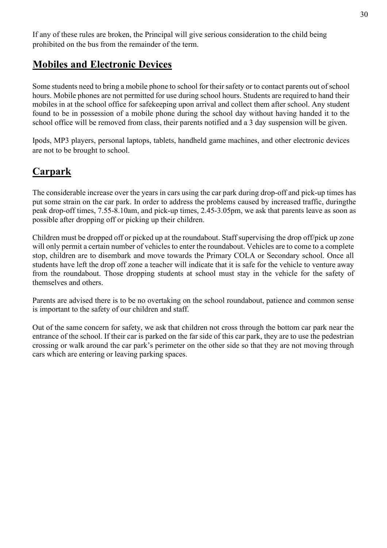If any of these rules are broken, the Principal will give serious consideration to the child being prohibited on the bus from the remainder of the term.

## <span id="page-28-0"></span>**Mobiles and Electronic Devices**

Some students need to bring a mobile phone to school for their safety or to contact parents out of school hours. Mobile phones are not permitted for use during school hours. Students are required to hand their mobiles in at the school office for safekeeping upon arrival and collect them after school. Any student found to be in possession of a mobile phone during the school day without having handed it to the school office will be removed from class, their parents notified and a 3 day suspension will be given.

Ipods, MP3 players, personal laptops, tablets, handheld game machines, and other electronic devices are not to be brought to school.

## <span id="page-28-1"></span>**Carpark**

The considerable increase over the years in cars using the car park during drop-off and pick-up times has put some strain on the car park. In order to address the problems caused by increased traffic, duringthe peak drop-off times, 7.55-8.10am, and pick-up times, 2.45-3.05pm, we ask that parents leave as soon as possible after dropping off or picking up their children.

Children must be dropped off or picked up at the roundabout. Staff supervising the drop off/pick up zone will only permit a certain number of vehicles to enter the roundabout. Vehicles are to come to a complete stop, children are to disembark and move towards the Primary COLA or Secondary school. Once all students have left the drop off zone a teacher will indicate that it is safe for the vehicle to venture away from the roundabout. Those dropping students at school must stay in the vehicle for the safety of themselves and others.

Parents are advised there is to be no overtaking on the school roundabout, patience and common sense is important to the safety of our children and staff.

Out of the same concern for safety, we ask that children not cross through the bottom car park near the entrance of the school. If their car is parked on the far side of this car park, they are to use the pedestrian crossing or walk around the car park's perimeter on the other side so that they are not moving through cars which are entering or leaving parking spaces.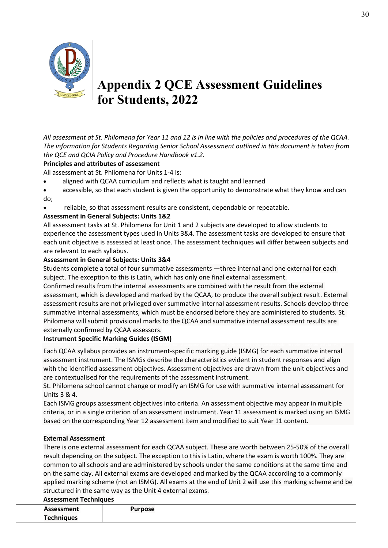

# <span id="page-29-0"></span>**Appendix 2 QCE Assessment Guidelines for Students, 2022**

*All assessment at St. Philomena for Year 11 and 12 is in line with the policies and procedures of the QCAA. The information for Students Regarding Senior School Assessment outlined in this document is taken from the QCE and QCIA Policy and Procedure Handbook v1.2.* 

### **Principles and attributes of assessmen**t

All assessment at St. Philomena for Units 1-4 is:

- aligned with QCAA curriculum and reflects what is taught and learned
- accessible, so that each student is given the opportunity to demonstrate what they know and can do;
- reliable, so that assessment results are consistent, dependable or repeatable.

### **Assessment in General Subjects: Units 1&2**

All assessment tasks at St. Philomena for Unit 1 and 2 subjects are developed to allow students to experience the assessment types used in Units 3&4. The assessment tasks are developed to ensure that each unit objective is assessed at least once. The assessment techniques will differ between subjects and are relevant to each syllabus.

### **Assessment in General Subjects: Units 3&4**

Students complete a total of four summative assessments —three internal and one external for each subject. The exception to this is Latin, which has only one final external assessment.

Confirmed results from the internal assessments are combined with the result from the external assessment, which is developed and marked by the QCAA, to produce the overall subject result. External assessment results are not privileged over summative internal assessment results. Schools develop three summative internal assessments, which must be endorsed before they are administered to students. St. Philomena will submit provisional marks to the QCAA and summative internal assessment results are externally confirmed by QCAA assessors.

### **Instrument Specific Marking Guides (ISGM)**

Each QCAA syllabus provides an instrument-specific marking guide (ISMG) for each summative internal assessment instrument. The ISMGs describe the characteristics evident in student responses and align with the identified assessment objectives. Assessment objectives are drawn from the unit objectives and are contextualised for the requirements of the assessment instrument.

St. Philomena school cannot change or modify an ISMG for use with summative internal assessment for Units 3 & 4.

Each ISMG groups assessment objectives into criteria. An assessment objective may appear in multiple criteria, or in a single criterion of an assessment instrument. Year 11 assessment is marked using an ISMG based on the corresponding Year 12 assessment item and modified to suit Year 11 content.

### **External Assessment**

There is one external assessment for each QCAA subject. These are worth between 25-50% of the overall result depending on the subject. The exception to this is Latin, where the exam is worth 100%. They are common to all schools and are administered by schools under the same conditions at the same time and on the same day. All external exams are developed and marked by the QCAA according to a commonly applied marking scheme (not an ISMG). All exams at the end of Unit 2 will use this marking scheme and be structured in the same way as the Unit 4 external exams.

### **Assessment Techniques Assessment Techniques Purpose**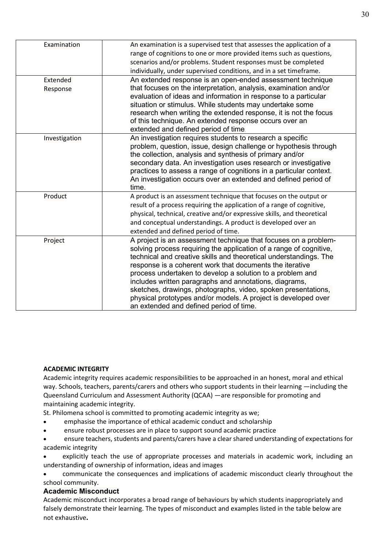| Examination   | An examination is a supervised test that assesses the application of a  |
|---------------|-------------------------------------------------------------------------|
|               | range of cognitions to one or more provided items such as questions,    |
|               | scenarios and/or problems. Student responses must be completed          |
|               | individually, under supervised conditions, and in a set timeframe.      |
| Extended      | An extended response is an open-ended assessment technique              |
| Response      | that focuses on the interpretation, analysis, examination and/or        |
|               | evaluation of ideas and information in response to a particular         |
|               | situation or stimulus. While students may undertake some                |
|               | research when writing the extended response, it is not the focus        |
|               | of this technique. An extended response occurs over an                  |
|               | extended and defined period of time.                                    |
| Investigation | An investigation requires students to research a specific               |
|               | problem, question, issue, design challenge or hypothesis through        |
|               | the collection, analysis and synthesis of primary and/or                |
|               | secondary data. An investigation uses research or investigative         |
|               | practices to assess a range of cognitions in a particular context.      |
|               | An investigation occurs over an extended and defined period of          |
|               | time.                                                                   |
| Product       | A product is an assessment technique that focuses on the output or      |
|               | result of a process requiring the application of a range of cognitive,  |
|               | physical, technical, creative and/or expressive skills, and theoretical |
|               | and conceptual understandings. A product is developed over an           |
|               | extended and defined period of time.                                    |
| Project       | A project is an assessment technique that focuses on a problem-         |
|               | solving process requiring the application of a range of cognitive,      |
|               | technical and creative skills and theoretical understandings. The       |
|               | response is a coherent work that documents the iterative                |
|               | process undertaken to develop a solution to a problem and               |
|               | includes written paragraphs and annotations, diagrams,                  |
|               | sketches, drawings, photographs, video, spoken presentations,           |
|               | physical prototypes and/or models. A project is developed over          |
|               | an extended and defined period of time.                                 |

### **ACADEMIC INTEGRITY**

Academic integrity requires academic responsibilities to be approached in an honest, moral and ethical way. Schools, teachers, parents/carers and others who support students in their learning —including the Queensland Curriculum and Assessment Authority (QCAA) —are responsible for promoting and maintaining academic integrity.

St. Philomena school is committed to promoting academic integrity as we;

- emphasise the importance of ethical academic conduct and scholarship
- ensure robust processes are in place to support sound academic practice
- ensure teachers, students and parents/carers have a clear shared understanding of expectations for academic integrity

• explicitly teach the use of appropriate processes and materials in academic work, including an understanding of ownership of information, ideas and images

• communicate the consequences and implications of academic misconduct clearly throughout the school community.

### **Academic Misconduct**

Academic misconduct incorporates a broad range of behaviours by which students inappropriately and falsely demonstrate their learning. The types of misconduct and examples listed in the table below are not exhaustive**.**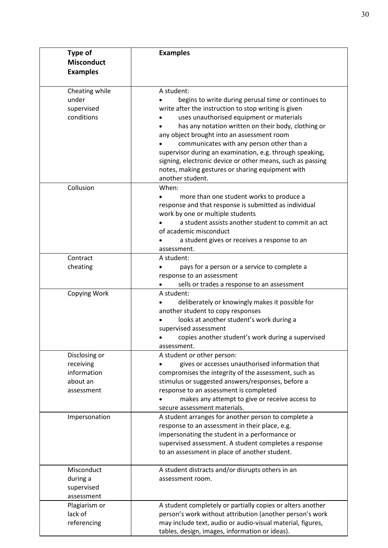| <b>Type of</b><br><b>Misconduct</b><br><b>Examples</b>              | <b>Examples</b>                                                                                                                                                                                                                                                                                                                                                                                                                                                                                                           |
|---------------------------------------------------------------------|---------------------------------------------------------------------------------------------------------------------------------------------------------------------------------------------------------------------------------------------------------------------------------------------------------------------------------------------------------------------------------------------------------------------------------------------------------------------------------------------------------------------------|
| Cheating while<br>under<br>supervised<br>conditions                 | A student:<br>begins to write during perusal time or continues to<br>write after the instruction to stop writing is given<br>uses unauthorised equipment or materials<br>has any notation written on their body, clothing or<br>any object brought into an assessment room<br>communicates with any person other than a<br>supervisor during an examination, e.g. through speaking,<br>signing, electronic device or other means, such as passing<br>notes, making gestures or sharing equipment with<br>another student. |
| Collusion                                                           | When:<br>more than one student works to produce a<br>response and that response is submitted as individual<br>work by one or multiple students<br>a student assists another student to commit an act<br>of academic misconduct<br>a student gives or receives a response to an<br>assessment.                                                                                                                                                                                                                             |
| Contract<br>cheating                                                | A student:<br>pays for a person or a service to complete a<br>response to an assessment<br>sells or trades a response to an assessment                                                                                                                                                                                                                                                                                                                                                                                    |
| Copying Work                                                        | A student:<br>deliberately or knowingly makes it possible for<br>another student to copy responses<br>looks at another student's work during a<br>supervised assessment<br>copies another student's work during a supervised<br>assessment.                                                                                                                                                                                                                                                                               |
| Disclosing or<br>receiving<br>information<br>about an<br>assessment | A student or other person:<br>gives or accesses unauthorised information that<br>compromises the integrity of the assessment, such as<br>stimulus or suggested answers/responses, before a<br>response to an assessment is completed<br>makes any attempt to give or receive access to<br>secure assessment materials.                                                                                                                                                                                                    |
| Impersonation                                                       | A student arranges for another person to complete a<br>response to an assessment in their place, e.g.<br>impersonating the student in a performance or<br>supervised assessment. A student completes a response<br>to an assessment in place of another student.                                                                                                                                                                                                                                                          |
| Misconduct<br>during a<br>supervised<br>assessment                  | A student distracts and/or disrupts others in an<br>assessment room.                                                                                                                                                                                                                                                                                                                                                                                                                                                      |
| Plagiarism or<br>lack of<br>referencing                             | A student completely or partially copies or alters another<br>person's work without attribution (another person's work<br>may include text, audio or audio-visual material, figures,<br>tables, design, images, information or ideas).                                                                                                                                                                                                                                                                                    |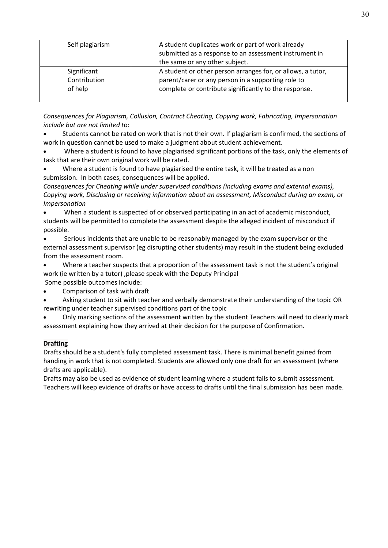| Self plagiarism                        | A student duplicates work or part of work already<br>submitted as a response to an assessment instrument in<br>the same or any other subject.                              |
|----------------------------------------|----------------------------------------------------------------------------------------------------------------------------------------------------------------------------|
| Significant<br>Contribution<br>of help | A student or other person arranges for, or allows, a tutor,<br>parent/carer or any person in a supporting role to<br>complete or contribute significantly to the response. |

*Consequences for Plagiarism, Collusion, Contract Cheating, Copying work, Fabricating, Impersonation include but are not limited t*o:

Students cannot be rated on work that is not their own. If plagiarism is confirmed, the sections of work in question cannot be used to make a judgment about student achievement.

• Where a student is found to have plagiarised significant portions of the task, only the elements of task that are their own original work will be rated.

Where a student is found to have plagiarised the entire task, it will be treated as a non submission. In both cases, consequences will be applied.

*Consequences for Cheating while under supervised conditions (including exams and external exams), Copying work, Disclosing or receiving information about an assessment, Misconduct during an exam, or Impersonation*

• When a student is suspected of or observed participating in an act of academic misconduct, students will be permitted to complete the assessment despite the alleged incident of misconduct if possible.

• Serious incidents that are unable to be reasonably managed by the exam supervisor or the external assessment supervisor (eg disrupting other students) may result in the student being excluded from the assessment room.

• Where a teacher suspects that a proportion of the assessment task is not the student's original work (ie written by a tutor) ,please speak with the Deputy Principal

Some possible outcomes include:

• Comparison of task with draft

• Asking student to sit with teacher and verbally demonstrate their understanding of the topic OR rewriting under teacher supervised conditions part of the topic

• Only marking sections of the assessment written by the student Teachers will need to clearly mark assessment explaining how they arrived at their decision for the purpose of Confirmation.

### **Drafting**

Drafts should be a student's fully completed assessment task. There is minimal benefit gained from handing in work that is not completed. Students are allowed only one draft for an assessment (where drafts are applicable).

Drafts may also be used as evidence of student learning where a student fails to submit assessment. Teachers will keep evidence of drafts or have access to drafts until the final submission has been made.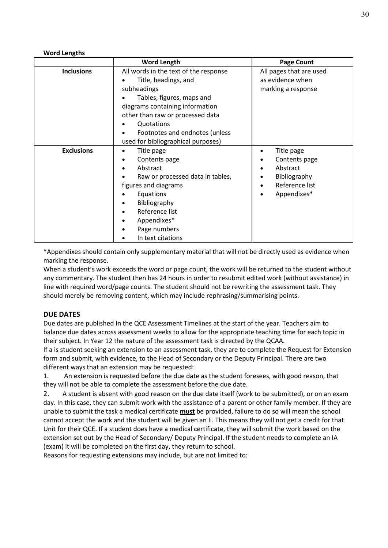### **Word Lengths**

|                   | <b>Word Length</b>                                                                                                                                                                                                               | <b>Page Count</b>                                                                             |
|-------------------|----------------------------------------------------------------------------------------------------------------------------------------------------------------------------------------------------------------------------------|-----------------------------------------------------------------------------------------------|
| <b>Inclusions</b> | All words in the text of the response<br>Title, headings, and<br>subheadings<br>Tables, figures, maps and<br>diagrams containing information<br>other than raw or processed data<br>Quotations<br>Footnotes and endnotes (unless | All pages that are used<br>as evidence when<br>marking a response                             |
|                   | used for bibliographical purposes)                                                                                                                                                                                               |                                                                                               |
| <b>Exclusions</b> | Title page<br>Contents page<br>Abstract<br>Raw or processed data in tables,<br>figures and diagrams<br>Equations<br>Bibliography<br>٠<br>Reference list<br>$\bullet$<br>Appendixes*<br>٠<br>Page numbers<br>In text citations    | Title page<br>٠<br>Contents page<br>Abstract<br>Bibliography<br>Reference list<br>Appendixes* |

\*Appendixes should contain only supplementary material that will not be directly used as evidence when marking the response.

When a student's work exceeds the word or page count, the work will be returned to the student without any commentary. The student then has 24 hours in order to resubmit edited work (without assistance) in line with required word/page counts. The student should not be rewriting the assessment task. They should merely be removing content, which may include rephrasing/summarising points.

### **DUE DATES**

Due dates are published In the QCE Assessment Timelines at the start of the year. Teachers aim to balance due dates across assessment weeks to allow for the appropriate teaching time for each topic in their subject. In Year 12 the nature of the assessment task is directed by the QCAA.

If a is student seeking an extension to an assessment task, they are to complete the Request for Extension form and submit, with evidence, to the Head of Secondary or the Deputy Principal. There are two different ways that an extension may be requested:

1. An extension is requested before the due date as the student foresees, with good reason, that they will not be able to complete the assessment before the due date.

2. A student is absent with good reason on the due date itself (work to be submitted), or on an exam day. In this case, they can submit work with the assistance of a parent or other family member. If they are unable to submit the task a medical certificate **must** be provided, failure to do so will mean the school cannot accept the work and the student will be given an E. This means they will not get a credit for that Unit for their QCE. If a student does have a medical certificate, they will submit the work based on the extension set out by the Head of Secondary/ Deputy Principal. If the student needs to complete an IA (exam) it will be completed on the first day, they return to school.

Reasons for requesting extensions may include, but are not limited to: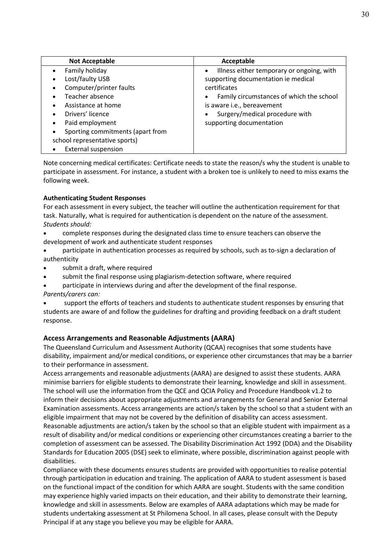| <b>Not Acceptable</b>            | Acceptable                                             |
|----------------------------------|--------------------------------------------------------|
| Family holiday                   | Illness either temporary or ongoing, with<br>$\bullet$ |
| Lost/faulty USB                  | supporting documentation ie medical                    |
| Computer/printer faults          | certificates                                           |
| Teacher absence                  | Family circumstances of which the school<br>$\bullet$  |
| Assistance at home               | is aware i.e., bereavement                             |
| Drivers' licence                 | Surgery/medical procedure with                         |
| Paid employment                  | supporting documentation                               |
| Sporting commitments (apart from |                                                        |
| school representative sports)    |                                                        |
| <b>External suspension</b>       |                                                        |

Note concerning medical certificates: Certificate needs to state the reason/s why the student is unable to participate in assessment. For instance, a student with a broken toe is unlikely to need to miss exams the following week.

### **Authenticating Student Responses**

For each assessment in every subject, the teacher will outline the authentication requirement for that task. Naturally, what is required for authentication is dependent on the nature of the assessment. *Students should:*

- complete responses during the designated class time to ensure teachers can observe the development of work and authenticate student responses
- participate in authentication processes as required by schools, such as to-sign a declaration of authenticity
- submit a draft, where required
- submit the final response using plagiarism-detection software, where required
- participate in interviews during and after the development of the final response.
- *Parents/carers can:*

support the efforts of teachers and students to authenticate student responses by ensuring that students are aware of and follow the guidelines for drafting and providing feedback on a draft student response.

### **Access Arrangements and Reasonable Adjustments (AARA)**

The Queensland Curriculum and Assessment Authority (QCAA) recognises that some students have disability, impairment and/or medical conditions, or experience other circumstances that may be a barrier to their performance in assessment.

Access arrangements and reasonable adjustments (AARA) are designed to assist these students. AARA minimise barriers for eligible students to demonstrate their learning, knowledge and skill in assessment. The school will use the information from the QCE and QCIA Policy and Procedure Handbook v1.2 to inform their decisions about appropriate adjustments and arrangements for General and Senior External Examination assessments. Access arrangements are action/s taken by the school so that a student with an eligible impairment that may not be covered by the definition of disability can access assessment. Reasonable adjustments are action/s taken by the school so that an eligible student with impairment as a result of disability and/or medical conditions or experiencing other circumstances creating a barrier to the completion of assessment can be assessed. The Disability Discrimination Act 1992 (DDA) and the Disability Standards for Education 2005 (DSE) seek to eliminate, where possible, discrimination against people with disabilities.

Compliance with these documents ensures students are provided with opportunities to realise potential through participation in education and training. The application of AARA to student assessment is based on the functional impact of the condition for which AARA are sought. Students with the same condition may experience highly varied impacts on their education, and their ability to demonstrate their learning, knowledge and skill in assessments. Below are examples of AARA adaptations which may be made for students undertaking assessment at St Philomena School. In all cases, please consult with the Deputy Principal if at any stage you believe you may be eligible for AARA.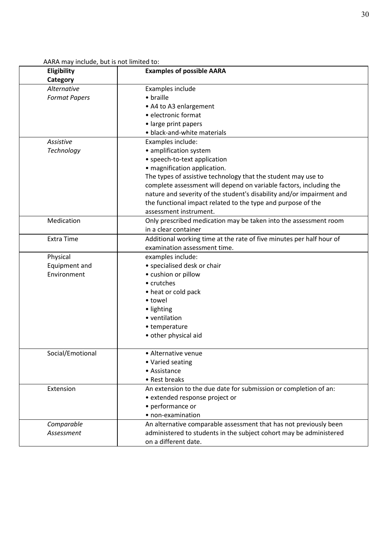AARA may include, but is not limited to:

| Eligibility<br>Category | <b>Examples of possible AARA</b>                                      |
|-------------------------|-----------------------------------------------------------------------|
| Alternative             | Examples include                                                      |
| <b>Format Papers</b>    | • braille                                                             |
|                         | • A4 to A3 enlargement                                                |
|                         | · electronic format                                                   |
|                         | • large print papers                                                  |
|                         | • black-and-white materials                                           |
| Assistive               | Examples include:                                                     |
| Technology              | • amplification system                                                |
|                         | • speech-to-text application                                          |
|                         | • magnification application.                                          |
|                         | The types of assistive technology that the student may use to         |
|                         | complete assessment will depend on variable factors, including the    |
|                         | nature and severity of the student's disability and/or impairment and |
|                         | the functional impact related to the type and purpose of the          |
|                         | assessment instrument.                                                |
| Medication              | Only prescribed medication may be taken into the assessment room      |
|                         | in a clear container                                                  |
| <b>Extra Time</b>       | Additional working time at the rate of five minutes per half hour of  |
|                         | examination assessment time.                                          |
| Physical                | examples include:                                                     |
| Equipment and           | • specialised desk or chair                                           |
| Environment             | • cushion or pillow                                                   |
|                         | • crutches                                                            |
|                         | • heat or cold pack                                                   |
|                         | • towel                                                               |
|                         | · lighting                                                            |
|                         | • ventilation                                                         |
|                         | • temperature                                                         |
|                         | • other physical aid                                                  |
| Social/Emotional        | • Alternative venue                                                   |
|                         | • Varied seating                                                      |
|                         | • Assistance                                                          |
|                         | • Rest breaks                                                         |
| Extension               | An extension to the due date for submission or completion of an:      |
|                         | • extended response project or                                        |
|                         | • performance or                                                      |
|                         | • non-examination                                                     |
| Comparable              | An alternative comparable assessment that has not previously been     |
| Assessment              | administered to students in the subject cohort may be administered    |
|                         | on a different date.                                                  |